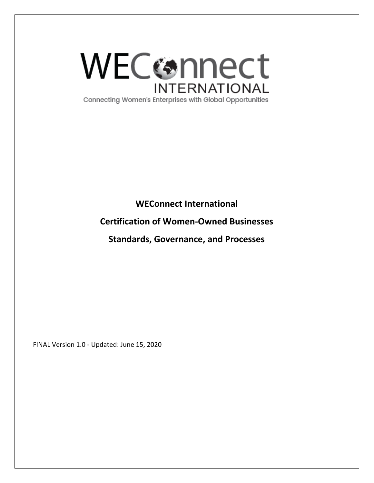

Connecting Women's Enterprises with Global Opportunities

**WEConnect International** 

# **Certification of Women-Owned Businesses**

**Standards, Governance, and Processes**

FINAL Version 1.0 - Updated: June 15, 2020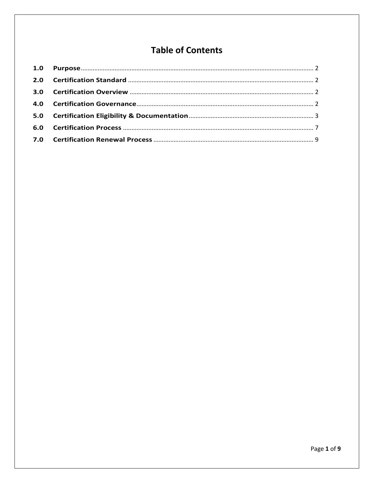# **Table of Contents**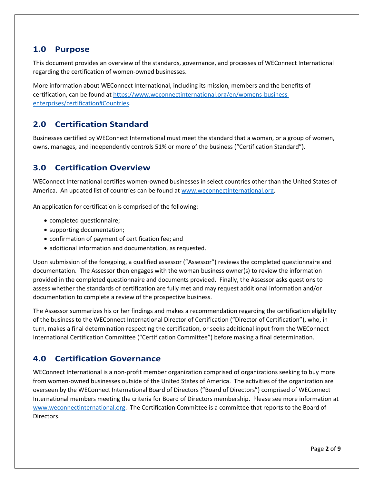## <span id="page-2-0"></span>**1.0 Purpose**

This document provides an overview of the standards, governance, and processes of WEConnect International regarding the certification of women-owned businesses.

More information about WEConnect International, including its mission, members and the benefits of certification, can be found at [https://www.weconnectinternational.org/en/womens-business](https://www.weconnectinternational.org/en/womens-business-enterprises/certification#Countries)[enterprises/certification#Countries.](https://www.weconnectinternational.org/en/womens-business-enterprises/certification#Countries)

# <span id="page-2-1"></span>**2.0 Certification Standard**

Businesses certified by WEConnect International must meet the standard that a woman, or a group of women, owns, manages, and independently controls 51% or more of the business ("Certification Standard").

# <span id="page-2-2"></span>**3.0 Certification Overview**

WEConnect International certifies women-owned businesses in select countries other than the United States of America. An updated list of countries can be found at [www.weconnectinternational.org.](http://www.weconnectinternational.org/)

An application for certification is comprised of the following:

- completed questionnaire;
- supporting documentation;
- confirmation of payment of certification fee; and
- additional information and documentation, as requested.

Upon submission of the foregoing, a qualified assessor ("Assessor") reviews the completed questionnaire and documentation. The Assessor then engages with the woman business owner(s) to review the information provided in the completed questionnaire and documents provided. Finally, the Assessor asks questions to assess whether the standards of certification are fully met and may request additional information and/or documentation to complete a review of the prospective business.

The Assessor summarizes his or her findings and makes a recommendation regarding the certification eligibility of the business to the WEConnect International Director of Certification ("Director of Certification"), who, in turn, makes a final determination respecting the certification, or seeks additional input from the WEConnect International Certification Committee ("Certification Committee") before making a final determination.

# <span id="page-2-3"></span>**4.0 Certification Governance**

WEConnect International is a non-profit member organization comprised of organizations seeking to buy more from women-owned businesses outside of the United States of America. The activities of the organization are overseen by the WEConnect International Board of Directors ("Board of Directors") comprised of WEConnect International members meeting the criteria for Board of Directors membership. Please see more information at [www.weconnectinternational.org.](http://www.weconnectinternational.org/) The Certification Committee is a committee that reports to the Board of Directors.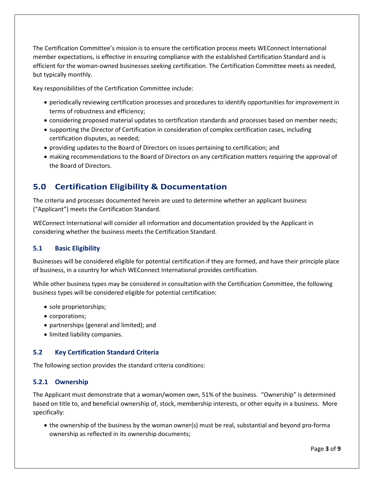The Certification Committee's mission is to ensure the certification process meets WEConnect International member expectations, is effective in ensuring compliance with the established Certification Standard and is efficient for the woman-owned businesses seeking certification. The Certification Committee meets as needed, but typically monthly.

Key responsibilities of the Certification Committee include:

- periodically reviewing certification processes and procedures to identify opportunities for improvement in terms of robustness and efficiency;
- considering proposed material updates to certification standards and processes based on member needs;
- supporting the Director of Certification in consideration of complex certification cases, including certification disputes, as needed;
- providing updates to the Board of Directors on issues pertaining to certification; and
- making recommendations to the Board of Directors on any certification matters requiring the approval of the Board of Directors.

# <span id="page-3-0"></span>**5.0 Certification Eligibility & Documentation**

The criteria and processes documented herein are used to determine whether an applicant business ("Applicant") meets the Certification Standard.

WEConnect International will consider all information and documentation provided by the Applicant in considering whether the business meets the Certification Standard.

### **5.1 Basic Eligibility**

Businesses will be considered eligible for potential certification if they are formed, and have their principle place of business, in a country for which WEConnect International provides certification.

While other business types may be considered in consultation with the Certification Committee, the following business types will be considered eligible for potential certification:

- sole proprietorships;
- corporations;
- partnerships (general and limited); and
- limited liability companies.

### **5.2 Key Certification Standard Criteria**

The following section provides the standard criteria conditions:

### **5.2.1 Ownership**

The Applicant must demonstrate that a woman/women own, 51% of the business. "Ownership" is determined based on title to, and beneficial ownership of, stock, membership interests, or other equity in a business. More specifically:

• the ownership of the business by the woman owner(s) must be real, substantial and beyond pro-forma ownership as reflected in its ownership documents;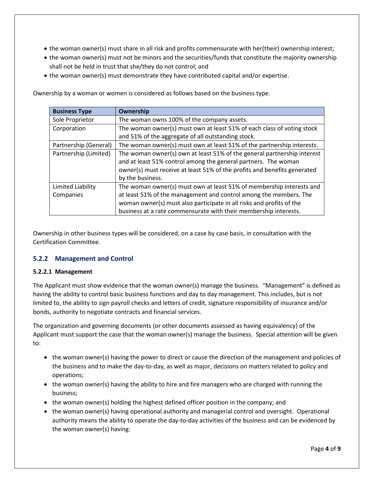- the woman owner(s) must share in all risk and profits commensurate with her(their) ownership interest;
- the woman owner(s) must not be minors and the securities/funds that constitute the majority ownership shall not be held in trust that she/they do not control; and
- the woman owner(s) must demonstrate they have contributed capital and/or expertise.

**Business Type Ownership** Sole Proprietor | The woman owns 100% of the company assets. Corporation  $\vert$  The woman owner(s) must own at least 51% of each class of voting stock and 51% of the aggregate of all outstanding stock. Partnership (General) The woman owner(s) must own at least 51% of the partnership interests. Partnership (Limited) The woman owner(s) own at least 51% of the general partnership interest and at least 51% control among the general partners. The woman owner(s) must receive at least 51% of the profits and benefits generated by the business. Limited Liability Companies The woman owner(s) must own at least 51% of membership interests and at least 51% of the management and control among the members. The woman owner(s) must also participate in all risks and profits of the business at a rate commensurate with their membership interests.

Ownership by a woman or women is considered as follows based on the business type.

Ownership in other business types will be considered, on a case by case basis, in consultation with the Certification Committee.

### **5.2.2 Management and Control**

#### **5.2.2.1 Management**

The Applicant must show evidence that the woman owner(s) manage the business. "Management" is defined as having the ability to control basic business functions and day to day management. This includes, but is not limited to, the ability to sign payroll checks and letters of credit, signature responsibility of insurance and/or bonds, authority to negotiate contracts and financial services.

The organization and governing documents (or other documents assessed as having equivalency) of the Applicant must support the case that the woman owner(s) manage the business. Special attention will be given to:

- the woman owner(s) having the power to direct or cause the direction of the management and policies of the business and to make the day-to-day, as well as major, decisions on matters related to policy and operations;
- the woman owner(s) having the ability to hire and fire managers who are charged with running the business;
- the woman owner(s) holding the highest defined officer position in the company; and
- the woman owner(s) having operational authority and managerial control and oversight. Operational authority means the ability to operate the day-to-day activities of the business and can be evidenced by the woman owner(s) having: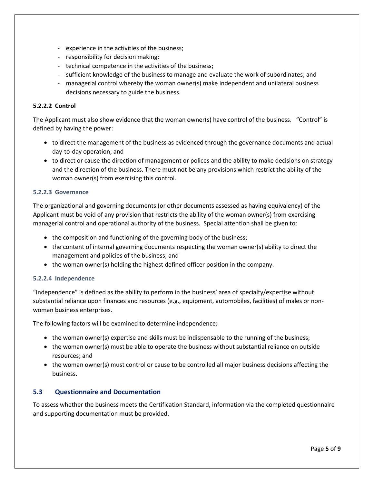- experience in the activities of the business;
- responsibility for decision making;
- technical competence in the activities of the business;
- sufficient knowledge of the business to manage and evaluate the work of subordinates; and
- managerial control whereby the woman owner(s) make independent and unilateral business decisions necessary to guide the business.

#### **5.2.2.2 Control**

The Applicant must also show evidence that the woman owner(s) have control of the business. "Control" is defined by having the power:

- to direct the management of the business as evidenced through the governance documents and actual day-to-day operation; and
- to direct or cause the direction of management or polices and the ability to make decisions on strategy and the direction of the business. There must not be any provisions which restrict the ability of the woman owner(s) from exercising this control.

#### **5.2.2.3 Governance**

The organizational and governing documents (or other documents assessed as having equivalency) of the Applicant must be void of any provision that restricts the ability of the woman owner(s) from exercising managerial control and operational authority of the business. Special attention shall be given to:

- the composition and functioning of the governing body of the business;
- the content of internal governing documents respecting the woman owner(s) ability to direct the management and policies of the business; and
- the woman owner(s) holding the highest defined officer position in the company.

#### **5.2.2.4 Independence**

"Independence" is defined as the ability to perform in the business' area of specialty/expertise without substantial reliance upon finances and resources (e.g., equipment, automobiles, facilities) of males or nonwoman business enterprises.

The following factors will be examined to determine independence:

- the woman owner(s) expertise and skills must be indispensable to the running of the business;
- the woman owner(s) must be able to operate the business without substantial reliance on outside resources; and
- the woman owner(s) must control or cause to be controlled all major business decisions affecting the business.

#### **5.3 Questionnaire and Documentation**

To assess whether the business meets the Certification Standard, information via the completed questionnaire and supporting documentation must be provided.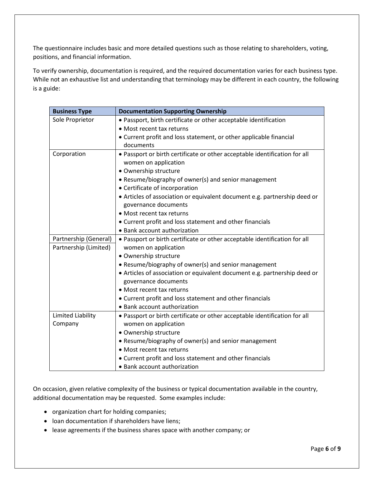The questionnaire includes basic and more detailed questions such as those relating to shareholders, voting, positions, and financial information.

To verify ownership, documentation is required, and the required documentation varies for each business type. While not an exhaustive list and understanding that terminology may be different in each country, the following is a guide:

| <b>Business Type</b>  | <b>Documentation Supporting Ownership</b>                                  |
|-----------------------|----------------------------------------------------------------------------|
| Sole Proprietor       | • Passport, birth certificate or other acceptable identification           |
|                       | • Most recent tax returns                                                  |
|                       | • Current profit and loss statement, or other applicable financial         |
|                       | documents                                                                  |
| Corporation           | . Passport or birth certificate or other acceptable identification for all |
|                       | women on application                                                       |
|                       | • Ownership structure                                                      |
|                       | • Resume/biography of owner(s) and senior management                       |
|                       | • Certificate of incorporation                                             |
|                       | • Articles of association or equivalent document e.g. partnership deed or  |
|                       | governance documents                                                       |
|                       | • Most recent tax returns                                                  |
|                       | • Current profit and loss statement and other financials                   |
|                       | • Bank account authorization                                               |
| Partnership (General) | . Passport or birth certificate or other acceptable identification for all |
| Partnership (Limited) | women on application                                                       |
|                       | • Ownership structure                                                      |
|                       | • Resume/biography of owner(s) and senior management                       |
|                       | • Articles of association or equivalent document e.g. partnership deed or  |
|                       | governance documents                                                       |
|                       | • Most recent tax returns                                                  |
|                       | • Current profit and loss statement and other financials                   |
|                       | • Bank account authorization                                               |
| Limited Liability     | • Passport or birth certificate or other acceptable identification for all |
| Company               | women on application                                                       |
|                       | • Ownership structure                                                      |
|                       | • Resume/biography of owner(s) and senior management                       |
|                       | • Most recent tax returns                                                  |
|                       | • Current profit and loss statement and other financials                   |
|                       | • Bank account authorization                                               |

On occasion, given relative complexity of the business or typical documentation available in the country, additional documentation may be requested. Some examples include:

- organization chart for holding companies;
- loan documentation if shareholders have liens;
- lease agreements if the business shares space with another company; or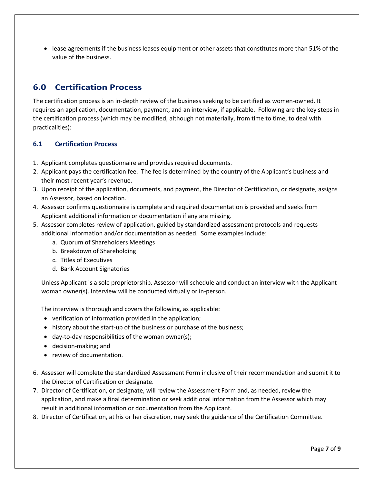• lease agreements if the business leases equipment or other assets that constitutes more than 51% of the value of the business.

# <span id="page-7-0"></span>**6.0 Certification Process**

The certification process is an in-depth review of the business seeking to be certified as women-owned. It requires an application, documentation, payment, and an interview, if applicable. Following are the key steps in the certification process (which may be modified, although not materially, from time to time, to deal with practicalities):

### **6.1 Certification Process**

- 1. Applicant completes questionnaire and provides required documents.
- 2. Applicant pays the certification fee. The fee is determined by the country of the Applicant's business and their most recent year's revenue.
- 3. Upon receipt of the application, documents, and payment, the Director of Certification, or designate, assigns an Assessor, based on location.
- 4. Assessor confirms questionnaire is complete and required documentation is provided and seeks from Applicant additional information or documentation if any are missing.
- 5. Assessor completes review of application, guided by standardized assessment protocols and requests additional information and/or documentation as needed. Some examples include:
	- a. Quorum of Shareholders Meetings
	- b. Breakdown of Shareholding
	- c. Titles of Executives
	- d. Bank Account Signatories

Unless Applicant is a sole proprietorship, Assessor will schedule and conduct an interview with the Applicant woman owner(s). Interview will be conducted virtually or in-person.

The interview is thorough and covers the following, as applicable:

- verification of information provided in the application;
- history about the start-up of the business or purchase of the business;
- day-to-day responsibilities of the woman owner(s);
- decision-making; and
- review of documentation.
- 6. Assessor will complete the standardized Assessment Form inclusive of their recommendation and submit it to the Director of Certification or designate.
- 7. Director of Certification, or designate, will review the Assessment Form and, as needed, review the application, and make a final determination or seek additional information from the Assessor which may result in additional information or documentation from the Applicant.
- 8. Director of Certification, at his or her discretion, may seek the guidance of the Certification Committee.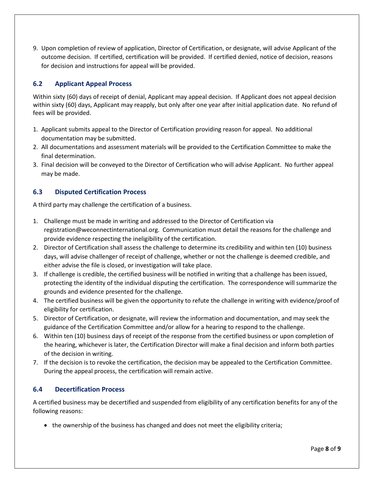9. Upon completion of review of application, Director of Certification, or designate, will advise Applicant of the outcome decision. If certified, certification will be provided. If certified denied, notice of decision, reasons for decision and instructions for appeal will be provided.

### **6.2 Applicant Appeal Process**

Within sixty (60) days of receipt of denial, Applicant may appeal decision. If Applicant does not appeal decision within sixty (60) days, Applicant may reapply, but only after one year after initial application date. No refund of fees will be provided.

- 1. Applicant submits appeal to the Director of Certification providing reason for appeal. No additional documentation may be submitted.
- 2. All documentations and assessment materials will be provided to the Certification Committee to make the final determination.
- 3. Final decision will be conveyed to the Director of Certification who will advise Applicant. No further appeal may be made.

### **6.3 Disputed Certification Process**

A third party may challenge the certification of a business.

- 1. Challenge must be made in writing and addressed to the Director of Certification via [registration@weconnectinternational.org.](mailto:registration@weconnectinternational.org) Communication must detail the reasons for the challenge and provide evidence respecting the ineligibility of the certification.
- 2. Director of Certification shall assess the challenge to determine its credibility and within ten (10) business days, will advise challenger of receipt of challenge, whether or not the challenge is deemed credible, and either advise the file is closed, or investigation will take place.
- 3. If challenge is credible, the certified business will be notified in writing that a challenge has been issued, protecting the identity of the individual disputing the certification. The correspondence will summarize the grounds and evidence presented for the challenge.
- 4. The certified business will be given the opportunity to refute the challenge in writing with evidence/proof of eligibility for certification.
- 5. Director of Certification, or designate, will review the information and documentation, and may seek the guidance of the Certification Committee and/or allow for a hearing to respond to the challenge.
- 6. Within ten (10) business days of receipt of the response from the certified business or upon completion of the hearing, whichever is later, the Certification Director will make a final decision and inform both parties of the decision in writing.
- 7. If the decision is to revoke the certification, the decision may be appealed to the Certification Committee. During the appeal process, the certification will remain active.

### **6.4 Decertification Process**

A certified business may be decertified and suspended from eligibility of any certification benefits for any of the following reasons:

• the ownership of the business has changed and does not meet the eligibility criteria;